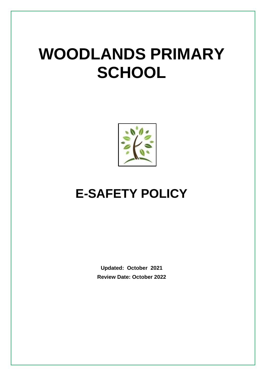# **WOODLANDS PRIMARY SCHOOL**



# **E-SAFETY POLICY**

**Updated: October 2021 Review Date: October 2022**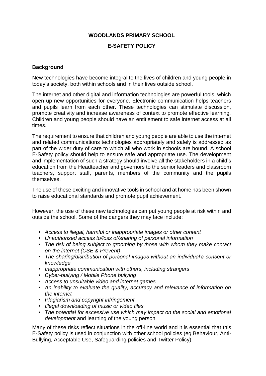#### **WOODLANDS PRIMARY SCHOOL**

#### **E-SAFETY POLICY**

#### **Background**

New technologies have become integral to the lives of children and young people in today's society, both within schools and in their lives outside school.

The internet and other digital and information technologies are powerful tools, which open up new opportunities for everyone. Electronic communication helps teachers and pupils learn from each other. These technologies can stimulate discussion, promote creativity and increase awareness of context to promote effective learning. Children and young people should have an entitlement to safe internet access at all times.

The requirement to ensure that children and young people are able to use the internet and related communications technologies appropriately and safely is addressed as part of the wider duty of care to which all who work in schools are bound. A school E-Safety policy should help to ensure safe and appropriate use. The development and implementation of such a strategy should involve all the stakeholders in a child's education from the Headteacher and governors to the senior leaders and classroom teachers, support staff, parents, members of the community and the pupils themselves.

The use of these exciting and innovative tools in school and at home has been shown to raise educational standards and promote pupil achievement.

However, the use of these new technologies can put young people at risk within and outside the school. Some of the dangers they may face include:

- *Access to illegal, harmful or inappropriate images or other content*
- *• Unauthorised access to/loss of/sharing of personal information*
- *• The risk of being subject to grooming by those with whom they make contact on the internet (CSE & Prevent)*
- *• The sharing/distribution of personal images without an individual's consent or knowledge*
- *• Inappropriate communication with others, including strangers*
- *• Cyber-bullying / Mobile Phone bullying*
- *• Access to unsuitable video and internet games*
- *• An inability to evaluate the quality, accuracy and relevance of information on the internet*
- *• Plagiarism and copyright infringement*
- *• Illegal downloading of music or video files*
- *• The potential for excessive use which may impact on the social and emotional development* and learning of the young person

Many of these risks reflect situations in the off-line world and it is essential that this E-Safety policy is used in conjunction with other school policies (eg Behaviour, Anti-Bullying, Acceptable Use, Safeguarding policies and Twitter Policy).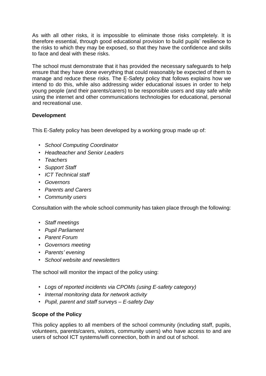As with all other risks, it is impossible to eliminate those risks completely. It is therefore essential, through good educational provision to build pupils' resilience to the risks to which they may be exposed, so that they have the confidence and skills to face and deal with these risks.

The school must demonstrate that it has provided the necessary safeguards to help ensure that they have done everything that could reasonably be expected of them to manage and reduce these risks. The E-Safety policy that follows explains how we intend to do this, while also addressing wider educational issues in order to help young people (and their parents/carers) to be responsible users and stay safe while using the internet and other communications technologies for educational, personal and recreational use.

#### **Development**

This E-Safety policy has been developed by a working group made up of:

- *• School Computing Coordinator*
- *• Headteacher and Senior Leaders*
- *• Teachers*
- *• Support Staff*
- *• ICT Technical staff*
- *• Governors*
- *• Parents and Carers*
- *• Community users*

Consultation with the whole school community has taken place through the following:

- *• Staff meetings*
- *• Pupil Parliament*
- *Parent Forum*
- *• Governors meeting*
- *• Parents' evening*
- *• School website and newsletters*

The school will monitor the impact of the policy using:

- *Logs of reported incidents via CPOMs (using E-safety category)*
- *• Internal monitoring data for network activity*
- *• Pupil, parent and staff surveys – E-safety Day*

#### **Scope of the Policy**

This policy applies to all members of the school community (including staff, pupils, volunteers, parents/carers, visitors, community users) who have access to and are users of school ICT systems/wifi connection, both in and out of school.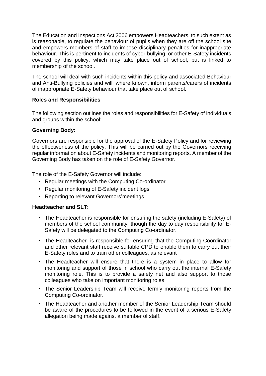The Education and Inspections Act 2006 empowers Headteachers, to such extent as is reasonable, to regulate the behaviour of pupils when they are off the school site and empowers members of staff to impose disciplinary penalties for inappropriate behaviour. This is pertinent to incidents of cyber-bullying, or other E-Safety incidents covered by this policy, which may take place out of school, but is linked to membership of the school.

The school will deal with such incidents within this policy and associated Behaviour and Anti-Bullying policies and will, where known, inform parents/carers of incidents of inappropriate E-Safety behaviour that take place out of school.

#### **Roles and Responsibilities**

The following section outlines the roles and responsibilities for E-Safety of individuals and groups within the school:

#### **Governing Body:**

Governors are responsible for the approval of the E-Safety Policy and for reviewing the effectiveness of the policy. This will be carried out by the Governors receiving regular information about E-Safety incidents and monitoring reports. A member of the Governing Body has taken on the role of E-Safety Governor.

The role of the E-Safety Governor will include:

- Regular meetings with the Computing Co-ordinator
- Regular monitoring of E-Safety incident logs
- Reporting to relevant Governors'meetings

#### **Headteacher and SLT:**

- The Headteacher is responsible for ensuring the safety (including E-Safety) of members of the school community, though the day to day responsibility for E-Safety will be delegated to the Computing Co-ordinator.
- The Headteacher is responsible for ensuring that the Computing Coordinator and other relevant staff receive suitable CPD to enable them to carry out their E-Safety roles and to train other colleagues, as relevant
- The Headteacher will ensure that there is a system in place to allow for monitoring and support of those in school who carry out the internal E-Safety monitoring role. This is to provide a safety net and also support to those colleagues who take on important monitoring roles.
- The Senior Leadership Team will receive termly monitoring reports from the Computing Co-ordinator.
- The Headteacher and another member of the Senior Leadership Team should be aware of the procedures to be followed in the event of a serious E-Safety allegation being made against a member of staff.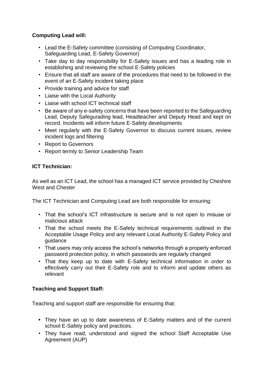#### **Computing Lead will:**

- Lead the E-Safety committee (consisting of Computing Coordinator, Safeguarding Lead, E-Safety Governor)
- Take day to day responsibility for E-Safety issues and has a leading role in establishing and reviewing the school E-Safety policies
- Ensure that all staff are aware of the procedures that need to be followed in the event of an E-Safety incident taking place
- Provide training and advice for staff
- Liaise with the Local Authority
- Liaise with school ICT technical staff
- Be aware of any e-safety concerns that have been reported to the Safeguarding Lead, Deputy Safegurading lead, Headteacher and Deputy Head and kept on record. Incidents will inform future E-Safety developments
- Meet regularly with the E-Safety Governor to discuss current issues, review incident logs and filtering
- Report to Governors
- Report termly to Senior Leadership Team

#### **ICT Technician:**

As well as an ICT Lead, the school has a managed ICT service provided by Cheshire West and Chester

The ICT Technician and Computing Lead are both responsible for ensuring:

- That the school's ICT infrastructure is secure and is not open to misuse or malicious attack
- That the school meets the E-Safety technical requirements outlined in the Acceptable Usage Policy and any relevant Local Authority E-Safety Policy and guidance
- That users may only access the school's networks through a properly enforced password protection policy, in which passwords are regularly changed
- That they keep up to date with E-Safety technical information in order to effectively carry out their E-Safety role and to inform and update others as relevant

#### **Teaching and Support Staff:**

Teaching and support staff are responsible for ensuring that:

- **•** They have an up to date awareness of E-Safety matters and of the current school E-Safety policy and practices.
- They have read, understood and signed the school Staff Acceptable Use Agreement (AUP)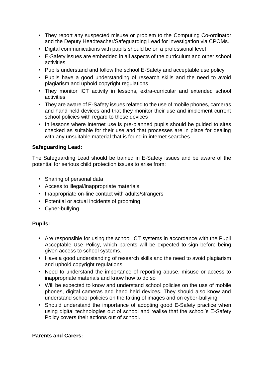- They report any suspected misuse or problem to the Computing Co-ordinator and the Deputy Headteacher/Safeguarding Lead for investigation via CPOMs.
- **•** Digital communications with pupils should be on a professional level
- E-Safety issues are embedded in all aspects of the curriculum and other school activities
- Pupils understand and follow the school E-Safety and acceptable use policy
- Pupils have a good understanding of research skills and the need to avoid plagiarism and uphold copyright regulations
- They monitor ICT activity in lessons, extra-curricular and extended school activities
- They are aware of E-Safety issues related to the use of mobile phones, cameras and hand held devices and that they monitor their use and implement current school policies with regard to these devices
- In lessons where internet use is pre-planned pupils should be guided to sites checked as suitable for their use and that processes are in place for dealing with any unsuitable material that is found in internet searches

#### **Safeguarding Lead:**

The Safeguarding Lead should be trained in E-Safety issues and be aware of the potential for serious child protection issues to arise from:

- Sharing of personal data
- Access to illegal/inappropriate materials
- Inappropriate on-line contact with adults/strangers
- Potential or actual incidents of grooming
- Cyber-bullying

#### **Pupils:**

- **•** Are responsible for using the school ICT systems in accordance with the Pupil Acceptable Use Policy, which parents will be expected to sign before being given access to school systems.
- Have a good understanding of research skills and the need to avoid plagiarism and uphold copyright regulations
- Need to understand the importance of reporting abuse, misuse or access to inappropriate materials and know how to do so
- Will be expected to know and understand school policies on the use of mobile phones, digital cameras and hand held devices. They should also know and understand school policies on the taking of images and on cyber-bullying.
- Should understand the importance of adopting good E-Safety practice when using digital technologies out of school and realise that the school's E-Safety Policy covers their actions out of school.

#### **Parents and Carers:**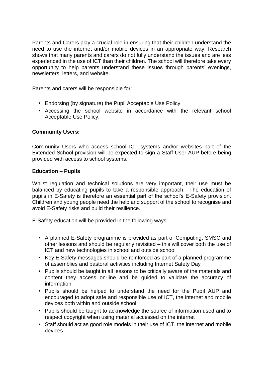Parents and Carers play a crucial role in ensuring that their children understand the need to use the internet and/or mobile devices in an appropriate way. Research shows that many parents and carers do not fully understand the issues and are less experienced in the use of ICT than their children. The school will therefore take every opportunity to help parents understand these issues through parents' evenings, newsletters, letters, and website.

Parents and carers will be responsible for:

- **•** Endorsing (by signature) the Pupil Acceptable Use Policy
- Accessing the school website in accordance with the relevant school Acceptable Use Policy.

#### **Community Users:**

Community Users who access school ICT systems and/or websites part of the Extended School provision will be expected to sign a Staff User AUP before being provided with access to school systems.

#### **Education – Pupils**

Whilst regulation and technical solutions are very important, their use must be balanced by educating pupils to take a responsible approach. The education of pupils in E-Safety is therefore an essential part of the school's E-Safety provision. Children and young people need the help and support of the school to recognise and avoid E-Safety risks and build their resilience.

E-Safety education will be provided in the following ways:

- A planned E-Safety programme is provided as part of Computing, SMSC and other lessons and should be regularly revisited – this will cover both the use of ICT and new technologies in school and outside school
- Key E-Safety messages should be reinforced as part of a planned programme of assemblies and pastoral activities including Internet Safety Day
- Pupils should be taught in all lessons to be critically aware of the materials and content they access on-line and be guided to validate the accuracy of information
- Pupils should be helped to understand the need for the Pupil AUP and encouraged to adopt safe and responsible use of ICT, the internet and mobile devices both within and outside school
- Pupils should be taught to acknowledge the source of information used and to respect copyright when using material accessed on the internet
- Staff should act as good role models in their use of ICT, the internet and mobile devices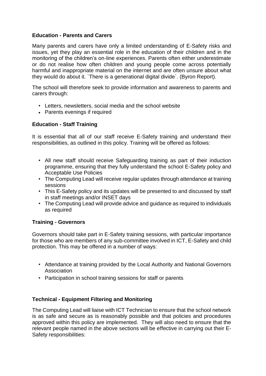#### **Education - Parents and Carers**

Many parents and carers have only a limited understanding of E-Safety risks and issues, yet they play an essential role in the education of their children and in the monitoring of the children's on-line experiences. Parents often either underestimate or do not realise how often children and young people come across potentially harmful and inappropriate material on the internet and are often unsure about what they would do about it. `There is a generational digital divide`. (Byron Report).

The school will therefore seek to provide information and awareness to parents and carers through:

- Letters, newsletters, social media and the school website
- Parents evenings if required

#### **Education - Staff Training**

It is essential that all of our staff receive E-Safety training and understand their responsibilities, as outlined in this policy. Training will be offered as follows:

- All new staff should receive Safeguarding training as part of their induction programme, ensuring that they fully understand the school E-Safety policy and Acceptable Use Policies
- The Computing Lead will receive regular updates through attendance at training sessions
- This E-Safety policy and its updates will be presented to and discussed by staff in staff meetings and/or INSET days
- The Computing Lead will provide advice and guidance as required to individuals as required

#### **Training - Governors**

Governors should take part in E-Safety training sessions, with particular importance for those who are members of any sub-committee involved in ICT, E-Safety and child protection. This may be offered in a number of ways:

- Attendance at training provided by the Local Authority and National Governors Association
- Participation in school training sessions for staff or parents

#### **Technical - Equipment Filtering and Monitoring**

The Computing Lead will liaise with ICT Technician to ensure that the school network is as safe and secure as is reasonably possible and that policies and procedures approved within this policy are implemented. They will also need to ensure that the relevant people named in the above sections will be effective in carrying out their E-Safety responsibilities: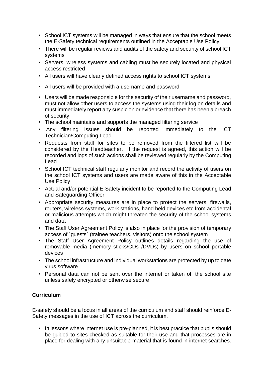- School ICT systems will be managed in ways that ensure that the school meets the E-Safety technical requirements outlined in the Acceptable Use Policy
- There will be regular reviews and audits of the safety and security of school ICT systems
- Servers, wireless systems and cabling must be securely located and physical access restricted
- All users will have clearly defined access rights to school ICT systems
- All users will be provided with a username and password
- Users will be made responsible for the security of their username and password, must not allow other users to access the systems using their log on details and must immediately report any suspicion or evidence that there has been a breach of security
- The school maintains and supports the managed filtering service
- Any filtering issues should be reported immediately to the ICT Technician/Computing Lead
- Requests from staff for sites to be removed from the filtered list will be considered by the Headteacher. If the request is agreed, this action will be recorded and logs of such actions shall be reviewed regularly by the Computing Lead
- School ICT technical staff regularly monitor and record the activity of users on the school ICT systems and users are made aware of this in the Acceptable Use Policy
- Actual and/or potential E-Safety incident to be reported to the Computing Lead and Safeguarding Officer
- Appropriate security measures are in place to protect the servers, firewalls, routers, wireless systems, work stations, hand held devices etc from accidental or malicious attempts which might threaten the security of the school systems and data
- The Staff User Agreement Policy is also in place for the provision of temporary access of `guests` (trainee teachers, visitors) onto the school system
- The Staff User Agreement Policy outlines details regarding the use of removable media (memory sticks/CDs /DVDs) by users on school portable devices
- The school infrastructure and individual workstations are protected by up to date virus software
- Personal data can not be sent over the internet or taken off the school site unless safely encrypted or otherwise secure

#### **Curriculum**

E-safety should be a focus in all areas of the curriculum and staff should reinforce E-Safety messages in the use of ICT across the curriculum.

• In lessons where internet use is pre-planned, it is best practice that pupils should be guided to sites checked as suitable for their use and that processes are in place for dealing with any unsuitable material that is found in internet searches.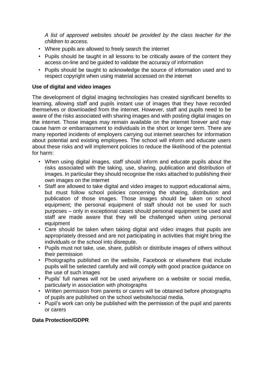*A list of approved websites should be provided by the class teacher for the children to access.*

- Where pupils are allowed to freely search the internet
- Pupils should be taught in all lessons to be critically aware of the content they access on-line and be guided to validate the accuracy of information
- Pupils should be taught to acknowledge the source of information used and to respect copyright when using material accessed on the internet

#### **Use of digital and video images**

The development of digital imaging technologies has created significant benefits to learning, allowing staff and pupils instant use of images that they have recorded themselves or downloaded from the internet. However, staff and pupils need to be aware of the risks associated with sharing images and with posting digital images on the internet. Those images may remain available on the internet forever and may cause harm or embarrassment to individuals in the short or longer term. There are many reported incidents of employers carrying out internet searches for information about potential and existing employees. The school will inform and educate users about these risks and will implement policies to reduce the likelihood of the potential for harm:

- When using digital images, staff should inform and educate pupils about the risks associated with the taking, use, sharing, publication and distribution of images. In particular they should recognise the risks attached to publishing their own images on the internet
- Staff are allowed to take digital and video images to support educational aims, but must follow school policies concerning the sharing, distribution and publication of those images. Those images should be taken on school equipment; the personal equipment of staff should not be used for such purposes – only in exceptional cases should personal equipment be used and staff are made aware that they will be challenged when using personal equipment
- Care should be taken when taking digital and video images that pupils are appropriately dressed and are not participating in activities that might bring the individuals or the school into disrepute.
- Pupils must not take, use, share, publish or distribute images of others without their permission
- Photographs published on the website, Facebook or elsewhere that include pupils will be selected carefully and will comply with good practice guidance on the use of such images
- Pupils' full names will not be used anywhere on a website or social media, particularly in association with photographs
- Written permission from parents or carers will be obtained before photographs of pupils are published on the school website/social media.
- Pupil's work can only be published with the permission of the pupil and parents or carers

#### **Data Protection/GDPR**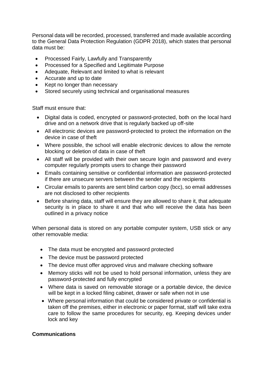Personal data will be recorded, processed, transferred and made available according to the General Data Protection Regulation (GDPR 2018), which states that personal data must be:

- Processed Fairly, Lawfully and Transparently
- Processed for a Specified and Legitimate Purpose
- Adequate, Relevant and limited to what is relevant
- Accurate and up to date
- Kept no longer than necessary
- Stored securely using technical and organisational measures

Staff must ensure that:

- Digital data is coded, encrypted or password-protected, both on the local hard drive and on a network drive that is regularly backed up off-site
- All electronic devices are password-protected to protect the information on the device in case of theft
- Where possible, the school will enable electronic devices to allow the remote blocking or deletion of data in case of theft
- All staff will be provided with their own secure login and password and every computer regularly prompts users to change their password
- Emails containing sensitive or confidential information are password-protected if there are unsecure servers between the sender and the recipients
- Circular emails to parents are sent blind carbon copy (bcc), so email addresses are not disclosed to other recipients
- Before sharing data, staff will ensure they are allowed to share it, that adequate security is in place to share it and that who will receive the data has been outlined in a privacy notice

When personal data is stored on any portable computer system, USB stick or any other removable media:

- The data must be encrypted and password protected
- The device must be password protected
- The device must offer approved virus and malware checking software
- Memory sticks will not be used to hold personal information, unless they are password-protected and fully encrypted
- Where data is saved on removable storage or a portable device, the device will be kept in a locked filing cabinet, drawer or safe when not in use
- Where personal information that could be considered private or confidential is taken off the premises, either in electronic or paper format, staff will take extra care to follow the same procedures for security, eg. Keeping devices under lock and key

#### **Communications**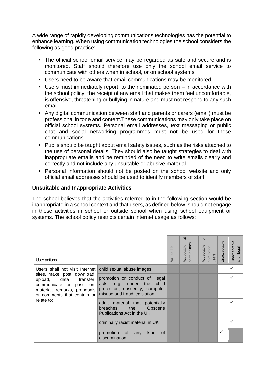A wide range of rapidly developing communications technologies has the potential to enhance learning. When using communication technologies the school considers the following as good practice:

- The official school email service may be regarded as safe and secure and is monitored. Staff should therefore use only the school email service to communicate with others when in school, or on school systems
- Users need to be aware that email communications may be monitored
- Users must immediately report, to the nominated person in accordance with the school policy, the receipt of any email that makes them feel uncomfortable, is offensive, threatening or bullying in nature and must not respond to any such email
- Any digital communication between staff and parents or carers (email) must be professional in tone and content.These communications may only take place on official school systems. Personal email addresses, text messaging or public chat and social networking programmes must not be used for these communications
- Pupils should be taught about email safety issues, such as the risks attached to the use of personal details. They should also be taught strategies to deal with inappropriate emails and be reminded of the need to write emails clearly and correctly and not include any unsuitable or abusive material
- Personal information should not be posted on the school website and only official email addresses should be used to identify members of staff

#### **Unsuitable and Inappropriate Activities**

The school believes that the activities referred to in the following section would be inappropriate in a school context and that users, as defined below, should not engage in these activities in school or outside school when using school equipment or systems. The school policy restricts certain internet usage as follows:

| User actions                                                                                                                                                                                             |                                                                                                                                        | Acceptable | ಹ<br>certain times<br>Acceptable | <b>jo</b><br>Acceptable<br>nominated<br>users | Jnacceptable | Unacceptable<br>and illegal |
|----------------------------------------------------------------------------------------------------------------------------------------------------------------------------------------------------------|----------------------------------------------------------------------------------------------------------------------------------------|------------|----------------------------------|-----------------------------------------------|--------------|-----------------------------|
| Users shall not visit Internet  <br>sites, make, post, download,<br>upload, data<br>transfer,<br>communicate or<br>pass on,<br>material, remarks, proposals<br>or comments that contain or<br>relate to: | child sexual abuse images                                                                                                              |            |                                  |                                               |              | ✓                           |
|                                                                                                                                                                                                          | promotion or conduct of illegal<br>acts, e.g. under<br>the<br>child<br>protection, obscenity, computer<br>misuse and fraud legislation |            |                                  |                                               |              |                             |
|                                                                                                                                                                                                          | adult material that<br>potentially<br>Obscene<br>the<br><b>breaches</b><br>Publications Act in the UK                                  |            |                                  |                                               |              |                             |
|                                                                                                                                                                                                          | criminally racist material in UK                                                                                                       |            |                                  |                                               |              |                             |
|                                                                                                                                                                                                          | promotion<br>of<br>0f<br>kind<br>any<br>discrimination                                                                                 |            |                                  |                                               | ✓            |                             |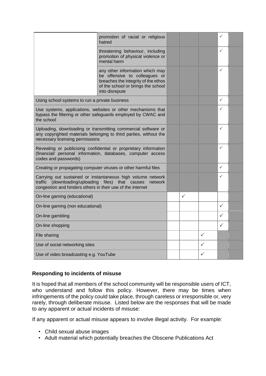|                                                                                                                                                                                           | promotion of racial or religious<br>hatred                                                                                                                      |              |              | ✓            |  |
|-------------------------------------------------------------------------------------------------------------------------------------------------------------------------------------------|-----------------------------------------------------------------------------------------------------------------------------------------------------------------|--------------|--------------|--------------|--|
|                                                                                                                                                                                           | threatening behaviour, including<br>promotion of physical violence or<br>mental harm                                                                            |              |              | ✓            |  |
|                                                                                                                                                                                           | any other information which may<br>be offensive to colleagues or<br>breaches the integrity of the ethos<br>of the school or brings the school<br>into disrepute |              |              | $\checkmark$ |  |
| Using school systems to run a private business                                                                                                                                            |                                                                                                                                                                 |              |              | $\checkmark$ |  |
| Use systems, applications, websites or other mechanisms that<br>bypass the filtering or other safeguards employed by CWAC and<br>the school                                               |                                                                                                                                                                 |              |              | ✓            |  |
| Uploading, downloading or transmitting commercial software or<br>any copyrighted materials belonging to third parties, without the<br>necessary licensing permissions                     |                                                                                                                                                                 |              |              | $\checkmark$ |  |
| Revealing or publicising confidential or proprietary information<br>(financial/ personal information, databases, computer access<br>codes and passwords)                                  |                                                                                                                                                                 |              |              | $\checkmark$ |  |
| Creating or propagating computer viruses or other harmful files                                                                                                                           |                                                                                                                                                                 |              |              | $\checkmark$ |  |
| Carrying out sustained or instantaneous high volume network<br>traffic (downloading/uploading files) that causes<br>network<br>congestion and hinders others in their use of the internet |                                                                                                                                                                 |              |              | $\checkmark$ |  |
| On-line gaming (educational)                                                                                                                                                              |                                                                                                                                                                 | $\checkmark$ |              |              |  |
| On-line gaming (non educational)                                                                                                                                                          |                                                                                                                                                                 |              |              | ✓            |  |
| On-line gambling                                                                                                                                                                          |                                                                                                                                                                 |              |              | ✓            |  |
| On-line shopping                                                                                                                                                                          |                                                                                                                                                                 |              |              | ✓            |  |
| File sharing                                                                                                                                                                              |                                                                                                                                                                 |              | $\checkmark$ |              |  |
| Use of social networking sites                                                                                                                                                            |                                                                                                                                                                 |              | $\checkmark$ |              |  |
| Use of video broadcasting e.g. YouTube                                                                                                                                                    |                                                                                                                                                                 |              | ✓            |              |  |

#### **Responding to incidents of misuse**

It is hoped that all members of the school community will be responsible users of ICT, who understand and follow this policy. However, there may be times when infringements of the policy could take place, through careless or irresponsible or, very rarely, through deliberate misuse. Listed below are the responses that will be made to any apparent or actual incidents of misuse:

If any apparent or actual misuse appears to involve illegal activity. For example:

- Child sexual abuse images
- Adult material which potentially breaches the Obscene Publications Act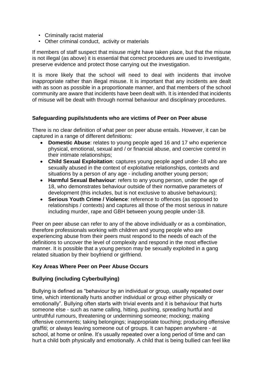- Criminally racist material
- Other criminal conduct, activity or materials

If members of staff suspect that misuse might have taken place, but that the misuse is not illegal (as above) it is essential that correct procedures are used to investigate, preserve evidence and protect those carrying out the investigation.

It is more likely that the school will need to deal with incidents that involve inappropriate rather than illegal misuse. It is important that any incidents are dealt with as soon as possible in a proportionate manner, and that members of the school community are aware that incidents have been dealt with. It is intended that incidents of misuse will be dealt with through normal behaviour and disciplinary procedures.

#### **Safeguarding pupils/students who are victims of Peer on Peer abuse**

There is no clear definition of what peer on peer abuse entails. However, it can be captured in a range of different definitions:

- **Domestic Abuse**: relates to young people aged 16 and 17 who experience physical, emotional, sexual and / or financial abuse, and coercive control in their intimate relationships;
- **Child Sexual Exploitation**: captures young people aged under-18 who are sexually abused in the context of exploitative relationships, contexts and situations by a person of any age - including another young person;
- **Harmful Sexual Behaviour**: refers to any young person, under the age of 18, who demonstrates behaviour outside of their normative parameters of development (this includes, but is not exclusive to abusive behaviours);
- **Serious Youth Crime / Violence**: reference to offences (as opposed to relationships / contexts) and captures all those of the most serious in nature including murder, rape and GBH between young people under-18.

Peer on peer abuse can refer to any of the above individually or as a combination, therefore professionals working with children and young people who are experiencing abuse from their peers must respond to the needs of each of the definitions to uncover the level of complexity and respond in the most effective manner. It is possible that a young person may be sexually exploited in a gang related situation by their boyfriend or girlfriend.

#### **Key Areas Where Peer on Peer Abuse Occurs**

#### **Bullying (including Cyberbullying)**

Bullying is defined as "behaviour by an individual or group, usually repeated over time, which intentionally hurts another individual or group either physically or emotionally". Bullying often starts with trivial events and it is behaviour that hurts someone else - such as name calling, hitting, pushing, spreading hurtful and untruthful rumours, threatening or undermining someone; mocking; making offensive comments; taking belongings; inappropriate touching; producing offensive graffiti; or always leaving someone out of groups. It can happen anywhere - at school, at home or online. It's usually repeated over a long period of time and can hurt a child both physically and emotionally. A child that is being bullied can feel like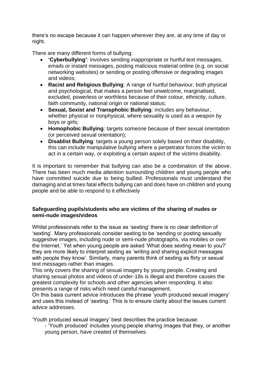there's no escape because it can happen wherever they are, at any time of day or night.

There are many different forms of bullying:

- **'Cyberbullying'**: involves sending inappropriate or hurtful text messages, emails or instant messages, posting malicious material online (e.g. on social networking websites) or sending or posting offensive or degrading images and videos;
- **Racist and Religious Bullying**: A range of hurtful behaviour, both physical and psychological, that makes a person feel unwelcome, marginalised, excluded, powerless or worthless because of their colour, ethnicity, culture, faith community, national origin or national status;
- **Sexual, Sexist and Transphobic Bullying**: includes any behaviour, whether physical or nonphysical, where sexuality is used as a weapon by boys or girls;
- **Homophobic Bullying**: targets someone because of their sexual orientation (or perceived sexual orientation);
- **Disablist Bullying**: targets a young person solely based on their disability, this can include manipulative bullying where a perpetrator forces the victim to act in a certain way, or exploiting a certain aspect of the victims disability.

It is important to remember that bullying can also be a combination of the above. There has been much media attention surrounding children and young people who have committed suicide due to being bullied. Professionals must understand the damaging and at times fatal effects bullying can and does have on children and young people and be able to respond to it effectively

#### **Safeguarding pupils/students who are victims of the sharing of nudes or semi-nude images/videos**

Whilst professionals refer to the issue as 'sexting' there is no clear definition of 'sexting'. Many professionals consider sexting to be 'sending or posting sexually suggestive images, including nude or semi-nude photographs, via mobiles or over the Internet.' Yet when young people are asked 'What does sexting mean to you?' they are more likely to interpret sexting as 'writing and sharing explicit messages with people they know'. Similarly, many parents think of sexting as flirty or sexual text messages rather than images.

This only covers the sharing of sexual imagery by young people. Creating and sharing sexual photos and videos of under-18s is illegal and therefore causes the greatest complexity for schools and other agencies when responding. It also presents a range of risks which need careful management.

On this basis current advice introduces the phrase 'youth produced sexual imagery' and uses this instead of 'sexting.' This is to ensure clarity about the issues current advice addresses.

'Youth produced sexual imagery' best describes the practice because:

- 'Youth produced' includes young people sharing images that they, or another young person, have created of themselves.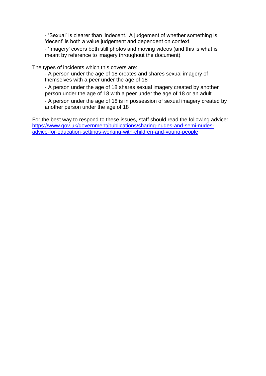- 'Sexual' is clearer than 'indecent.' A judgement of whether something is 'decent' is both a value judgement and dependent on context.

- 'Imagery' covers both still photos and moving videos (and this is what is meant by reference to imagery throughout the document).

The types of incidents which this covers are:

- A person under the age of 18 creates and shares sexual imagery of themselves with a peer under the age of 18

- A person under the age of 18 shares sexual imagery created by another person under the age of 18 with a peer under the age of 18 or an adult

- A person under the age of 18 is in possession of sexual imagery created by another person under the age of 18

For the best way to respond to these issues, staff should read the following advice: [https://www.gov.uk/government/publications/sharing-nudes-and-semi-nudes](https://www.gov.uk/government/publications/sharing-nudes-and-semi-nudes-advice-for-education-settings-working-with-children-and-young-people)[advice-for-education-settings-working-with-children-and-young-people](https://www.gov.uk/government/publications/sharing-nudes-and-semi-nudes-advice-for-education-settings-working-with-children-and-young-people)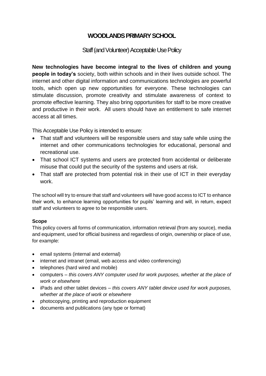### **WOODLANDS PRIMARY SCHOOL**

#### Staff (and Volunteer) Acceptable Use Policy

**New technologies have become integral to the lives of children and young people in today's** society, both within schools and in their lives outside school. The internet and other digital information and communications technologies are powerful tools, which open up new opportunities for everyone. These technologies can stimulate discussion, promote creativity and stimulate awareness of context to promote effective learning. They also bring opportunities for staff to be more creative and productive in their work. All users should have an entitlement to safe internet access at all times.

This Acceptable Use Policy is intended to ensure:

- That staff and volunteers will be responsible users and stay safe while using the internet and other communications technologies for educational, personal and recreational use.
- That school ICT systems and users are protected from accidental or deliberate misuse that could put the security of the systems and users at risk.
- That staff are protected from potential risk in their use of ICT in their everyday work.

The school will try to ensure that staff and volunteers will have good access to ICT to enhance their work, to enhance learning opportunities for pupils' learning and will, in return, expect staff and volunteers to agree to be responsible users.

#### **Scope**

This policy covers all forms of communication, information retrieval (from any source), media and equipment, used for official business and regardless of origin, ownership or place of use, for example:

- email systems (internal and external)
- internet and intranet (email, web access and video conferencing)
- telephones (hard wired and mobile)
- computers *this covers ANY computer used for work purposes, whether at the place of work or elsewhere*
- iPads and other tablet devices *this covers ANY tablet device used for work purposes, whether at the place of work or elsewhere*
- photocopying, printing and reproduction equipment
- documents and publications (any type or format)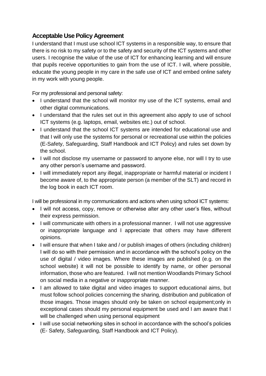## **Acceptable Use Policy Agreement**

I understand that I must use school ICT systems in a responsible way, to ensure that there is no risk to my safety or to the safety and security of the ICT systems and other users. I recognise the value of the use of ICT for enhancing learning and will ensure that pupils receive opportunities to gain from the use of ICT. I will, where possible, educate the young people in my care in the safe use of ICT and embed online safety in my work with young people.

For my professional and personal safety:

- I understand that the school will monitor my use of the ICT systems, email and other digital communications.
- I understand that the rules set out in this agreement also apply to use of school ICT systems (e.g. laptops, email, websites etc.) out of school.
- I understand that the school ICT systems are intended for educational use and that I will only use the systems for personal or recreational use within the policies (E-Safety, Safeguarding, Staff Handbook and ICT Policy) and rules set down by the school.
- I will not disclose my username or password to anyone else, nor will I try to use any other person's username and password.
- I will immediately report any illegal, inappropriate or harmful material or incident I become aware of, to the appropriate person (a member of the SLT) and record in the log book in each ICT room.

I will be professional in my communications and actions when using school ICT systems:

- I will not access, copy, remove or otherwise alter any other user's files, without their express permission.
- I will communicate with others in a professional manner. I will not use aggressive or inappropriate language and I appreciate that others may have different opinions.
- I will ensure that when I take and / or publish images of others (including children) I will do so with their permission and in accordance with the school's policy on the use of digital / video images. Where these images are published (e.g. on the school website) it will not be possible to identify by name, or other personal information, those who are featured. I will not mention Woodlands Primary School on social media in a negative or inappropriate manner.
- I am allowed to take digital and video images to support educational aims, but must follow school policies concerning the sharing, distribution and publication of those images. Those images should only be taken on school equipment;only in exceptional cases should my personal equipment be used and I am aware that I will be challenged when using personal equipment
- I will use social networking sites in school in accordance with the school's policies (E- Safety, Safeguarding, Staff Handbook and ICT Policy).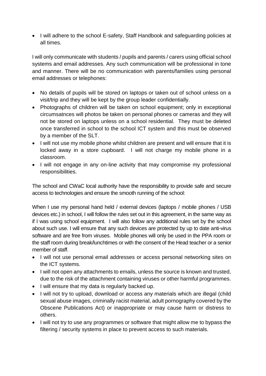• I will adhere to the school E-safety, Staff Handbook and safeguarding policies at all times.

I will only communicate with students / pupils and parents / carers using official school systems and email addresses. Any such communication will be professional in tone and manner. There will be no communication with parents/families using personal email addresses or telephones:

- No details of pupils will be stored on laptops or taken out of school unless on a visit/trip and they will be kept by the group leader confidentially.
- Photographs of children will be taken on school equipment; only in exceptional circumsatnces will photos be taken on personal phones or cameras and they will not be stored on laptops unless on a school residential. They must be deleted once transferred in school to the school ICT system and this must be observed by a member of the SLT.
- I will not use my mobile phone whilst children are present and will ensure that it is locked away in a store cupboard. I will not charge my mobile phone in a classroom.
- I will not engage in any on-line activity that may compromise my professional responsibilities.

The school and CWaC local authority have the responsibility to provide safe and secure access to technologies and ensure the smooth running of the school:

When I use my personal hand held / external devices (laptops / mobile phones / USB devices etc.) in school, I will follow the rules set out in this agreement, in the same way as if I was using school equipment. I will also follow any additional rules set by the school about such use. I will ensure that any such devices are protected by up to date anti-virus software and are free from viruses. Mobile phones will only be used in the PPA room or the staff room during break/lunchtimes or with the consent of the Head teacher or a senior member of staff.

- I will not use personal email addresses or access personal networking sites on the ICT systems.
- I will not open any attachments to emails, unless the source is known and trusted, due to the risk of the attachment containing viruses or other harmful programmes.
- I will ensure that my data is regularly backed up.
- I will not try to upload, download or access any materials which are illegal (child sexual abuse images, criminally racist material, adult pornography covered by the Obscene Publications Act) or inappropriate or may cause harm or distress to others.
- I will not try to use any programmes or software that might allow me to bypass the filtering / security systems in place to prevent access to such materials.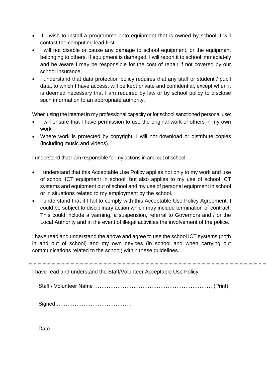- If I wish to install a programme onto equipment that is owned by school, I will contact the computing lead first.
- I will not disable or cause any damage to school equipment, or the equipment belonging to others. If equipment is damaged, I will report it to school immediately and be aware I may be responsible for the cost of repair if not covered by our school insurance.
- I understand that data protection policy requires that any staff or student / pupil data, to which I have access, will be kept private and confidential, except when it is deemed necessary that I am required by law or by school policy to disclose such information to an appropriate authority.

When using the internet in my professional capacity or for school sanctioned personal use:

- I will ensure that I have permission to use the original work of others in my own work
- Where work is protected by copyright, I will not download or distribute copies (including music and videos).

I understand that I am responsible for my actions in and out of school:

- I understand that this Acceptable Use Policy applies not only to my work and use of school ICT equipment in school, but also applies to my use of school ICT systems and equipment out of school and my use of personal equipment in school or in situations related to my employment by the school.
- I understand that if I fail to comply with this Acceptable Use Policy Agreement, I could be subject to disciplinary action which may include termination of contract. This could include a warning, a suspension, referral to Governors and / or the Local Authority and in the event of illegal activities the involvement of the police.

I have read and understand the above and agree to use the school ICT systems (both in and out of school) and my own devices (in school and when carrying out communications related to the school) within these guidelines.

I have read and understand the Staff/Volunteer Acceptable Use Policy

Staff / Volunteer Name ………………………………………………………… (Print)

Signed ……………………………………